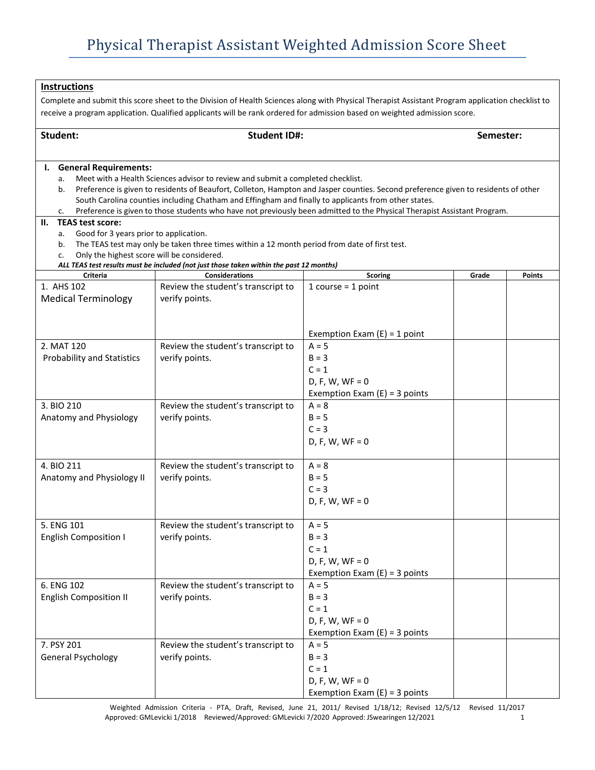| <b>Instructions</b>                                                                                                                                                                                                                    |                                                                                               |                                                      |           |               |  |  |  |
|----------------------------------------------------------------------------------------------------------------------------------------------------------------------------------------------------------------------------------------|-----------------------------------------------------------------------------------------------|------------------------------------------------------|-----------|---------------|--|--|--|
| Complete and submit this score sheet to the Division of Health Sciences along with Physical Therapist Assistant Program application checklist to                                                                                       |                                                                                               |                                                      |           |               |  |  |  |
| receive a program application. Qualified applicants will be rank ordered for admission based on weighted admission score.                                                                                                              |                                                                                               |                                                      |           |               |  |  |  |
|                                                                                                                                                                                                                                        |                                                                                               |                                                      |           |               |  |  |  |
| Student:                                                                                                                                                                                                                               | <b>Student ID#:</b>                                                                           |                                                      | Semester: |               |  |  |  |
|                                                                                                                                                                                                                                        |                                                                                               |                                                      |           |               |  |  |  |
| <b>General Requirements:</b><br>ι.                                                                                                                                                                                                     |                                                                                               |                                                      |           |               |  |  |  |
| a.                                                                                                                                                                                                                                     | Meet with a Health Sciences advisor to review and submit a completed checklist.               |                                                      |           |               |  |  |  |
| Preference is given to residents of Beaufort, Colleton, Hampton and Jasper counties. Second preference given to residents of other<br>b.                                                                                               |                                                                                               |                                                      |           |               |  |  |  |
| South Carolina counties including Chatham and Effingham and finally to applicants from other states.<br>Preference is given to those students who have not previously been admitted to the Physical Therapist Assistant Program.<br>c. |                                                                                               |                                                      |           |               |  |  |  |
| <b>TEAS test score:</b><br>Н.                                                                                                                                                                                                          |                                                                                               |                                                      |           |               |  |  |  |
| Good for 3 years prior to application.<br>a.                                                                                                                                                                                           |                                                                                               |                                                      |           |               |  |  |  |
| b.                                                                                                                                                                                                                                     | The TEAS test may only be taken three times within a 12 month period from date of first test. |                                                      |           |               |  |  |  |
| Only the highest score will be considered.<br>c.                                                                                                                                                                                       | ALL TEAS test results must be included (not just those taken within the past 12 months)       |                                                      |           |               |  |  |  |
| Criteria                                                                                                                                                                                                                               | <b>Considerations</b>                                                                         | <b>Scoring</b>                                       | Grade     | <b>Points</b> |  |  |  |
| 1. AHS 102                                                                                                                                                                                                                             | Review the student's transcript to                                                            | 1 course $=$ 1 point                                 |           |               |  |  |  |
| <b>Medical Terminology</b>                                                                                                                                                                                                             | verify points.                                                                                |                                                      |           |               |  |  |  |
|                                                                                                                                                                                                                                        |                                                                                               |                                                      |           |               |  |  |  |
|                                                                                                                                                                                                                                        |                                                                                               |                                                      |           |               |  |  |  |
|                                                                                                                                                                                                                                        |                                                                                               | Exemption Exam $(E) = 1$ point                       |           |               |  |  |  |
| 2. MAT 120                                                                                                                                                                                                                             | Review the student's transcript to                                                            | $A = 5$                                              |           |               |  |  |  |
| Probability and Statistics                                                                                                                                                                                                             | verify points.                                                                                | $B = 3$                                              |           |               |  |  |  |
|                                                                                                                                                                                                                                        |                                                                                               | $C = 1$                                              |           |               |  |  |  |
|                                                                                                                                                                                                                                        |                                                                                               | $D, F, W, WF = 0$<br>Exemption Exam $(E) = 3$ points |           |               |  |  |  |
| 3. BIO 210                                                                                                                                                                                                                             | Review the student's transcript to                                                            | $A = 8$                                              |           |               |  |  |  |
| Anatomy and Physiology                                                                                                                                                                                                                 | verify points.                                                                                | $B = 5$                                              |           |               |  |  |  |
|                                                                                                                                                                                                                                        |                                                                                               | $C = 3$                                              |           |               |  |  |  |
|                                                                                                                                                                                                                                        |                                                                                               | $D, F, W, WF = 0$                                    |           |               |  |  |  |
|                                                                                                                                                                                                                                        |                                                                                               |                                                      |           |               |  |  |  |
| 4. BIO 211                                                                                                                                                                                                                             | Review the student's transcript to                                                            | $A = 8$                                              |           |               |  |  |  |
| Anatomy and Physiology II                                                                                                                                                                                                              | verify points.                                                                                | $B = 5$                                              |           |               |  |  |  |
|                                                                                                                                                                                                                                        |                                                                                               | $C = 3$                                              |           |               |  |  |  |
|                                                                                                                                                                                                                                        |                                                                                               | $D, F, W, WF = 0$                                    |           |               |  |  |  |
|                                                                                                                                                                                                                                        |                                                                                               |                                                      |           |               |  |  |  |
| 5. ENG 101<br><b>English Composition I</b>                                                                                                                                                                                             | Review the student's transcript to<br>verify points.                                          | $A = 5$<br>$B = 3$                                   |           |               |  |  |  |
|                                                                                                                                                                                                                                        |                                                                                               | $C = 1$                                              |           |               |  |  |  |
|                                                                                                                                                                                                                                        |                                                                                               | $D, F, W, WF = 0$                                    |           |               |  |  |  |
|                                                                                                                                                                                                                                        |                                                                                               | Exemption Exam $(E) = 3$ points                      |           |               |  |  |  |
| 6. ENG 102                                                                                                                                                                                                                             | Review the student's transcript to                                                            | $A = 5$                                              |           |               |  |  |  |
| <b>English Composition II</b>                                                                                                                                                                                                          | verify points.                                                                                | $B = 3$                                              |           |               |  |  |  |
|                                                                                                                                                                                                                                        |                                                                                               | $C = 1$                                              |           |               |  |  |  |
|                                                                                                                                                                                                                                        |                                                                                               | $D, F, W, WF = 0$                                    |           |               |  |  |  |
|                                                                                                                                                                                                                                        |                                                                                               | Exemption Exam $(E) = 3$ points                      |           |               |  |  |  |
| 7. PSY 201                                                                                                                                                                                                                             | Review the student's transcript to                                                            | $A = 5$                                              |           |               |  |  |  |
| General Psychology                                                                                                                                                                                                                     | verify points.                                                                                | $B = 3$                                              |           |               |  |  |  |
|                                                                                                                                                                                                                                        |                                                                                               | $C = 1$                                              |           |               |  |  |  |
|                                                                                                                                                                                                                                        |                                                                                               | $D, F, W, WF = 0$<br>Exemption Exam $(E) = 3$ points |           |               |  |  |  |
|                                                                                                                                                                                                                                        |                                                                                               |                                                      |           |               |  |  |  |

Weighted Admission Criteria - PTA, Draft, Revised, June 21, 2011/ Revised 1/18/12; Revised 12/5/12 Revised 11/2017<br>pproved: GMLevicki 1/2018 Reviewed/Approved: GMLevicki 7/2020 Approved: JSwearingen 12/2021 Approved: GMLevicki 1/2018 Reviewed/Approved: GMLevicki 7/2020 Approved: JSwearingen 12/2021 1